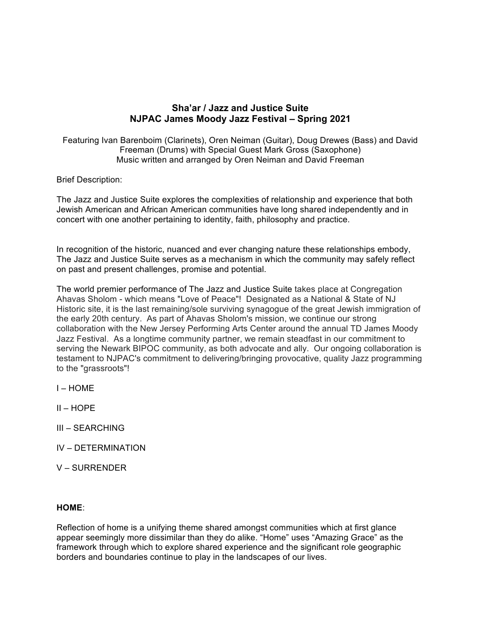# **Sha'ar / Jazz and Justice Suite NJPAC James Moody Jazz Festival – Spring 2021**

Featuring Ivan Barenboim (Clarinets), Oren Neiman (Guitar), Doug Drewes (Bass) and David Freeman (Drums) with Special Guest Mark Gross (Saxophone) Music written and arranged by Oren Neiman and David Freeman

Brief Description:

The Jazz and Justice Suite explores the complexities of relationship and experience that both Jewish American and African American communities have long shared independently and in concert with one another pertaining to identity, faith, philosophy and practice.

In recognition of the historic, nuanced and ever changing nature these relationships embody, The Jazz and Justice Suite serves as a mechanism in which the community may safely reflect on past and present challenges, promise and potential.

The world premier performance of The Jazz and Justice Suite takes place at Congregation Ahavas Sholom - which means "Love of Peace"! Designated as a National & State of NJ Historic site, it is the last remaining/sole surviving synagogue of the great Jewish immigration of the early 20th century. As part of Ahavas Sholom's mission, we continue our strong collaboration with the New Jersey Performing Arts Center around the annual TD James Moody Jazz Festival. As a longtime community partner, we remain steadfast in our commitment to serving the Newark BIPOC community, as both advocate and ally. Our ongoing collaboration is testament to NJPAC's commitment to delivering/bringing provocative, quality Jazz programming to the "grassroots"!

 $I - HOMF$ 

 $II - HOPE$ 

- III SEARCHING
- IV DETERMINATION
- V SURRENDER

## **HOME**:

Reflection of home is a unifying theme shared amongst communities which at first glance appear seemingly more dissimilar than they do alike. "Home" uses "Amazing Grace" as the framework through which to explore shared experience and the significant role geographic borders and boundaries continue to play in the landscapes of our lives.